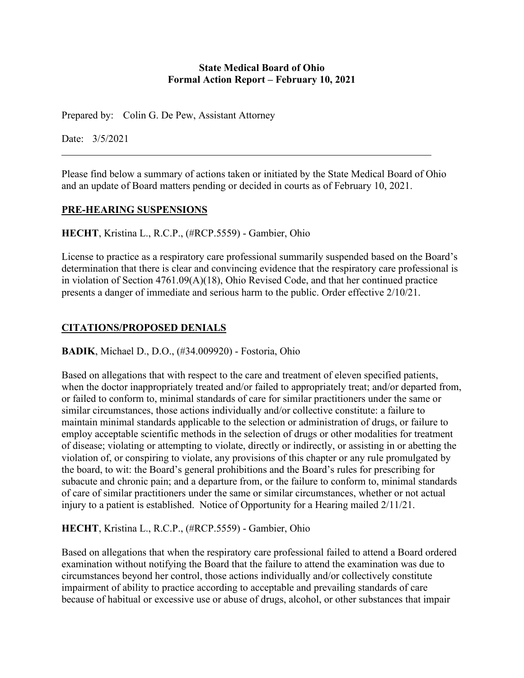#### **State Medical Board of Ohio Formal Action Report – February 10, 2021**

Prepared by: Colin G. De Pew, Assistant Attorney

Date: 3/5/2021

Please find below a summary of actions taken or initiated by the State Medical Board of Ohio and an update of Board matters pending or decided in courts as of February 10, 2021.

#### **PRE-HEARING SUSPENSIONS**

**HECHT**, Kristina L., R.C.P., (#RCP.5559) - Gambier, Ohio

License to practice as a respiratory care professional summarily suspended based on the Board's determination that there is clear and convincing evidence that the respiratory care professional is in violation of Section 4761.09(A)(18), Ohio Revised Code, and that her continued practice presents a danger of immediate and serious harm to the public. Order effective 2/10/21.

# **CITATIONS/PROPOSED DENIALS**

**BADIK**, Michael D., D.O., (#34.009920) - Fostoria, Ohio

Based on allegations that with respect to the care and treatment of eleven specified patients, when the doctor inappropriately treated and/or failed to appropriately treat; and/or departed from, or failed to conform to, minimal standards of care for similar practitioners under the same or similar circumstances, those actions individually and/or collective constitute: a failure to maintain minimal standards applicable to the selection or administration of drugs, or failure to employ acceptable scientific methods in the selection of drugs or other modalities for treatment of disease; violating or attempting to violate, directly or indirectly, or assisting in or abetting the violation of, or conspiring to violate, any provisions of this chapter or any rule promulgated by the board, to wit: the Board's general prohibitions and the Board's rules for prescribing for subacute and chronic pain; and a departure from, or the failure to conform to, minimal standards of care of similar practitioners under the same or similar circumstances, whether or not actual injury to a patient is established. Notice of Opportunity for a Hearing mailed 2/11/21.

**HECHT**, Kristina L., R.C.P., (#RCP.5559) - Gambier, Ohio

Based on allegations that when the respiratory care professional failed to attend a Board ordered examination without notifying the Board that the failure to attend the examination was due to circumstances beyond her control, those actions individually and/or collectively constitute impairment of ability to practice according to acceptable and prevailing standards of care because of habitual or excessive use or abuse of drugs, alcohol, or other substances that impair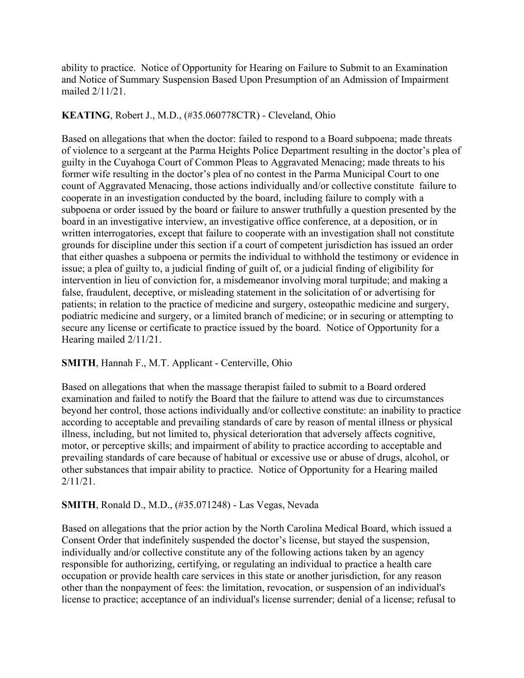ability to practice. Notice of Opportunity for Hearing on Failure to Submit to an Examination and Notice of Summary Suspension Based Upon Presumption of an Admission of Impairment mailed 2/11/21.

# **KEATING**, Robert J., M.D., (#35.060778CTR) - Cleveland, Ohio

Based on allegations that when the doctor: failed to respond to a Board subpoena; made threats of violence to a sergeant at the Parma Heights Police Department resulting in the doctor's plea of guilty in the Cuyahoga Court of Common Pleas to Aggravated Menacing; made threats to his former wife resulting in the doctor's plea of no contest in the Parma Municipal Court to one count of Aggravated Menacing, those actions individually and/or collective constitute failure to cooperate in an investigation conducted by the board, including failure to comply with a subpoena or order issued by the board or failure to answer truthfully a question presented by the board in an investigative interview, an investigative office conference, at a deposition, or in written interrogatories, except that failure to cooperate with an investigation shall not constitute grounds for discipline under this section if a court of competent jurisdiction has issued an order that either quashes a subpoena or permits the individual to withhold the testimony or evidence in issue; a plea of guilty to, a judicial finding of guilt of, or a judicial finding of eligibility for intervention in lieu of conviction for, a misdemeanor involving moral turpitude; and making a false, fraudulent, deceptive, or misleading statement in the solicitation of or advertising for patients; in relation to the practice of medicine and surgery, osteopathic medicine and surgery, podiatric medicine and surgery, or a limited branch of medicine; or in securing or attempting to secure any license or certificate to practice issued by the board. Notice of Opportunity for a Hearing mailed 2/11/21.

### **SMITH**, Hannah F., M.T. Applicant - Centerville, Ohio

Based on allegations that when the massage therapist failed to submit to a Board ordered examination and failed to notify the Board that the failure to attend was due to circumstances beyond her control, those actions individually and/or collective constitute: an inability to practice according to acceptable and prevailing standards of care by reason of mental illness or physical illness, including, but not limited to, physical deterioration that adversely affects cognitive, motor, or perceptive skills; and impairment of ability to practice according to acceptable and prevailing standards of care because of habitual or excessive use or abuse of drugs, alcohol, or other substances that impair ability to practice. Notice of Opportunity for a Hearing mailed 2/11/21.

### **SMITH**, Ronald D., M.D., (#35.071248) - Las Vegas, Nevada

Based on allegations that the prior action by the North Carolina Medical Board, which issued a Consent Order that indefinitely suspended the doctor's license, but stayed the suspension, individually and/or collective constitute any of the following actions taken by an agency responsible for authorizing, certifying, or regulating an individual to practice a health care occupation or provide health care services in this state or another jurisdiction, for any reason other than the nonpayment of fees: the limitation, revocation, or suspension of an individual's license to practice; acceptance of an individual's license surrender; denial of a license; refusal to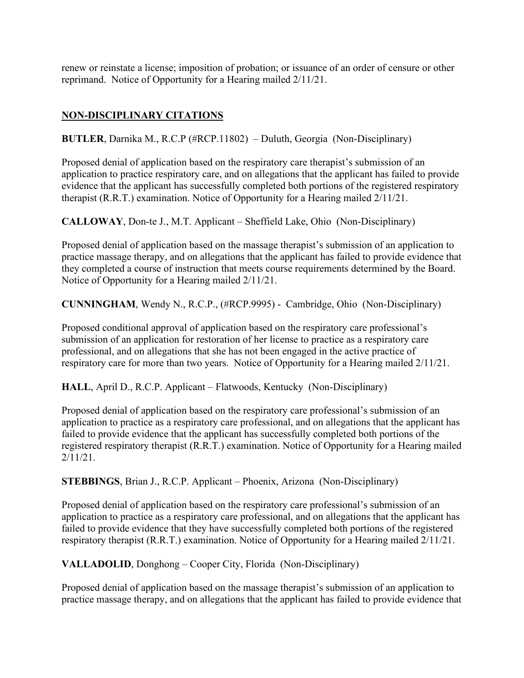renew or reinstate a license; imposition of probation; or issuance of an order of censure or other reprimand. Notice of Opportunity for a Hearing mailed 2/11/21.

# **NON-DISCIPLINARY CITATIONS**

**BUTLER**, Darnika M., R.C.P (#RCP.11802) – Duluth, Georgia (Non-Disciplinary)

Proposed denial of application based on the respiratory care therapist's submission of an application to practice respiratory care, and on allegations that the applicant has failed to provide evidence that the applicant has successfully completed both portions of the registered respiratory therapist (R.R.T.) examination. Notice of Opportunity for a Hearing mailed 2/11/21.

**CALLOWAY**, Don-te J., M.T. Applicant – Sheffield Lake, Ohio (Non-Disciplinary)

Proposed denial of application based on the massage therapist's submission of an application to practice massage therapy, and on allegations that the applicant has failed to provide evidence that they completed a course of instruction that meets course requirements determined by the Board. Notice of Opportunity for a Hearing mailed 2/11/21.

**CUNNINGHAM**, Wendy N., R.C.P., (#RCP.9995) - Cambridge, Ohio (Non-Disciplinary)

Proposed conditional approval of application based on the respiratory care professional's submission of an application for restoration of her license to practice as a respiratory care professional, and on allegations that she has not been engaged in the active practice of respiratory care for more than two years. Notice of Opportunity for a Hearing mailed 2/11/21.

**HALL**, April D., R.C.P. Applicant – Flatwoods, Kentucky (Non-Disciplinary)

Proposed denial of application based on the respiratory care professional's submission of an application to practice as a respiratory care professional, and on allegations that the applicant has failed to provide evidence that the applicant has successfully completed both portions of the registered respiratory therapist (R.R.T.) examination. Notice of Opportunity for a Hearing mailed 2/11/21.

**STEBBINGS**, Brian J., R.C.P. Applicant – Phoenix, Arizona (Non-Disciplinary)

Proposed denial of application based on the respiratory care professional's submission of an application to practice as a respiratory care professional, and on allegations that the applicant has failed to provide evidence that they have successfully completed both portions of the registered respiratory therapist (R.R.T.) examination. Notice of Opportunity for a Hearing mailed 2/11/21.

**VALLADOLID**, Donghong – Cooper City, Florida (Non-Disciplinary)

Proposed denial of application based on the massage therapist's submission of an application to practice massage therapy, and on allegations that the applicant has failed to provide evidence that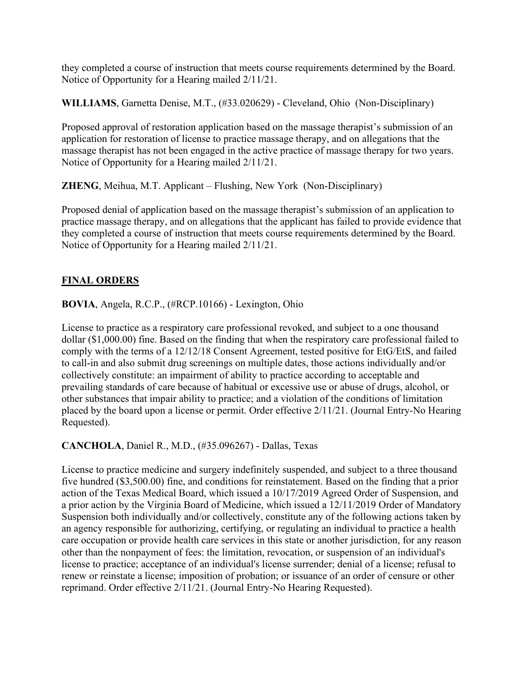they completed a course of instruction that meets course requirements determined by the Board. Notice of Opportunity for a Hearing mailed 2/11/21.

**WILLIAMS**, Garnetta Denise, M.T., (#33.020629) - Cleveland, Ohio (Non-Disciplinary)

Proposed approval of restoration application based on the massage therapist's submission of an application for restoration of license to practice massage therapy, and on allegations that the massage therapist has not been engaged in the active practice of massage therapy for two years. Notice of Opportunity for a Hearing mailed 2/11/21.

**ZHENG**, Meihua, M.T. Applicant – Flushing, New York (Non-Disciplinary)

Proposed denial of application based on the massage therapist's submission of an application to practice massage therapy, and on allegations that the applicant has failed to provide evidence that they completed a course of instruction that meets course requirements determined by the Board. Notice of Opportunity for a Hearing mailed 2/11/21.

# **FINAL ORDERS**

**BOVIA**, Angela, R.C.P., (#RCP.10166) - Lexington, Ohio

License to practice as a respiratory care professional revoked, and subject to a one thousand dollar (\$1,000.00) fine. Based on the finding that when the respiratory care professional failed to comply with the terms of a 12/12/18 Consent Agreement, tested positive for EtG/EtS, and failed to call-in and also submit drug screenings on multiple dates, those actions individually and/or collectively constitute: an impairment of ability to practice according to acceptable and prevailing standards of care because of habitual or excessive use or abuse of drugs, alcohol, or other substances that impair ability to practice; and a violation of the conditions of limitation placed by the board upon a license or permit. Order effective 2/11/21. (Journal Entry-No Hearing Requested).

**CANCHOLA**, Daniel R., M.D., (#35.096267) - Dallas, Texas

License to practice medicine and surgery indefinitely suspended, and subject to a three thousand five hundred (\$3,500.00) fine, and conditions for reinstatement. Based on the finding that a prior action of the Texas Medical Board, which issued a 10/17/2019 Agreed Order of Suspension, and a prior action by the Virginia Board of Medicine, which issued a 12/11/2019 Order of Mandatory Suspension both individually and/or collectively, constitute any of the following actions taken by an agency responsible for authorizing, certifying, or regulating an individual to practice a health care occupation or provide health care services in this state or another jurisdiction, for any reason other than the nonpayment of fees: the limitation, revocation, or suspension of an individual's license to practice; acceptance of an individual's license surrender; denial of a license; refusal to renew or reinstate a license; imposition of probation; or issuance of an order of censure or other reprimand. Order effective 2/11/21. (Journal Entry-No Hearing Requested).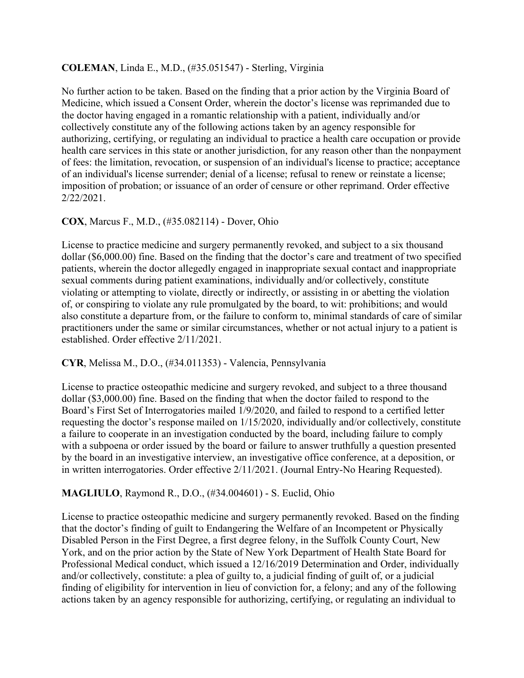### **COLEMAN**, Linda E., M.D., (#35.051547) - Sterling, Virginia

No further action to be taken. Based on the finding that a prior action by the Virginia Board of Medicine, which issued a Consent Order, wherein the doctor's license was reprimanded due to the doctor having engaged in a romantic relationship with a patient, individually and/or collectively constitute any of the following actions taken by an agency responsible for authorizing, certifying, or regulating an individual to practice a health care occupation or provide health care services in this state or another jurisdiction, for any reason other than the nonpayment of fees: the limitation, revocation, or suspension of an individual's license to practice; acceptance of an individual's license surrender; denial of a license; refusal to renew or reinstate a license; imposition of probation; or issuance of an order of censure or other reprimand. Order effective 2/22/2021.

### **COX**, Marcus F., M.D., (#35.082114) - Dover, Ohio

License to practice medicine and surgery permanently revoked, and subject to a six thousand dollar (\$6,000.00) fine. Based on the finding that the doctor's care and treatment of two specified patients, wherein the doctor allegedly engaged in inappropriate sexual contact and inappropriate sexual comments during patient examinations, individually and/or collectively, constitute violating or attempting to violate, directly or indirectly, or assisting in or abetting the violation of, or conspiring to violate any rule promulgated by the board, to wit: prohibitions; and would also constitute a departure from, or the failure to conform to, minimal standards of care of similar practitioners under the same or similar circumstances, whether or not actual injury to a patient is established. Order effective 2/11/2021.

### **CYR**, Melissa M., D.O., (#34.011353) - Valencia, Pennsylvania

License to practice osteopathic medicine and surgery revoked, and subject to a three thousand dollar (\$3,000.00) fine. Based on the finding that when the doctor failed to respond to the Board's First Set of Interrogatories mailed 1/9/2020, and failed to respond to a certified letter requesting the doctor's response mailed on 1/15/2020, individually and/or collectively, constitute a failure to cooperate in an investigation conducted by the board, including failure to comply with a subpoena or order issued by the board or failure to answer truthfully a question presented by the board in an investigative interview, an investigative office conference, at a deposition, or in written interrogatories. Order effective 2/11/2021. (Journal Entry-No Hearing Requested).

# **MAGLIULO**, Raymond R., D.O., (#34.004601) - S. Euclid, Ohio

License to practice osteopathic medicine and surgery permanently revoked. Based on the finding that the doctor's finding of guilt to Endangering the Welfare of an Incompetent or Physically Disabled Person in the First Degree, a first degree felony, in the Suffolk County Court, New York, and on the prior action by the State of New York Department of Health State Board for Professional Medical conduct, which issued a 12/16/2019 Determination and Order, individually and/or collectively, constitute: a plea of guilty to, a judicial finding of guilt of, or a judicial finding of eligibility for intervention in lieu of conviction for, a felony; and any of the following actions taken by an agency responsible for authorizing, certifying, or regulating an individual to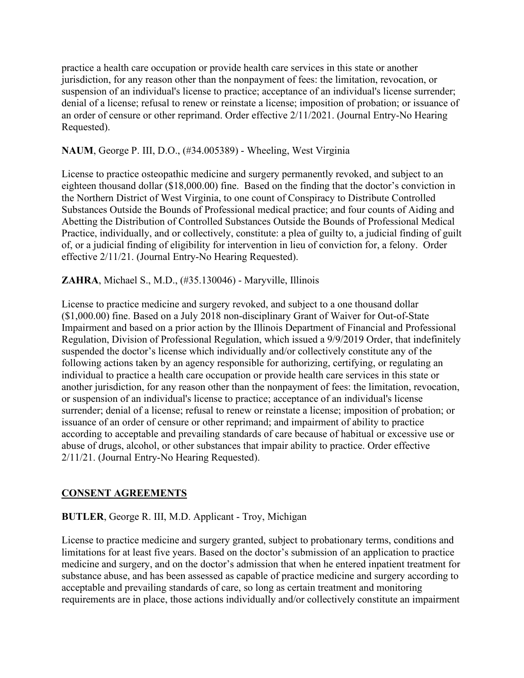practice a health care occupation or provide health care services in this state or another jurisdiction, for any reason other than the nonpayment of fees: the limitation, revocation, or suspension of an individual's license to practice; acceptance of an individual's license surrender; denial of a license; refusal to renew or reinstate a license; imposition of probation; or issuance of an order of censure or other reprimand. Order effective 2/11/2021. (Journal Entry-No Hearing Requested).

### **NAUM**, George P. III, D.O., (#34.005389) - Wheeling, West Virginia

License to practice osteopathic medicine and surgery permanently revoked, and subject to an eighteen thousand dollar (\$18,000.00) fine. Based on the finding that the doctor's conviction in the Northern District of West Virginia, to one count of Conspiracy to Distribute Controlled Substances Outside the Bounds of Professional medical practice; and four counts of Aiding and Abetting the Distribution of Controlled Substances Outside the Bounds of Professional Medical Practice, individually, and or collectively, constitute: a plea of guilty to, a judicial finding of guilt of, or a judicial finding of eligibility for intervention in lieu of conviction for, a felony. Order effective 2/11/21. (Journal Entry-No Hearing Requested).

### **ZAHRA**, Michael S., M.D., (#35.130046) - Maryville, Illinois

License to practice medicine and surgery revoked, and subject to a one thousand dollar (\$1,000.00) fine. Based on a July 2018 non-disciplinary Grant of Waiver for Out-of-State Impairment and based on a prior action by the Illinois Department of Financial and Professional Regulation, Division of Professional Regulation, which issued a 9/9/2019 Order, that indefinitely suspended the doctor's license which individually and/or collectively constitute any of the following actions taken by an agency responsible for authorizing, certifying, or regulating an individual to practice a health care occupation or provide health care services in this state or another jurisdiction, for any reason other than the nonpayment of fees: the limitation, revocation, or suspension of an individual's license to practice; acceptance of an individual's license surrender; denial of a license; refusal to renew or reinstate a license; imposition of probation; or issuance of an order of censure or other reprimand; and impairment of ability to practice according to acceptable and prevailing standards of care because of habitual or excessive use or abuse of drugs, alcohol, or other substances that impair ability to practice. Order effective 2/11/21. (Journal Entry-No Hearing Requested).

#### **CONSENT AGREEMENTS**

#### **BUTLER**, George R. III, M.D. Applicant - Troy, Michigan

License to practice medicine and surgery granted, subject to probationary terms, conditions and limitations for at least five years. Based on the doctor's submission of an application to practice medicine and surgery, and on the doctor's admission that when he entered inpatient treatment for substance abuse, and has been assessed as capable of practice medicine and surgery according to acceptable and prevailing standards of care, so long as certain treatment and monitoring requirements are in place, those actions individually and/or collectively constitute an impairment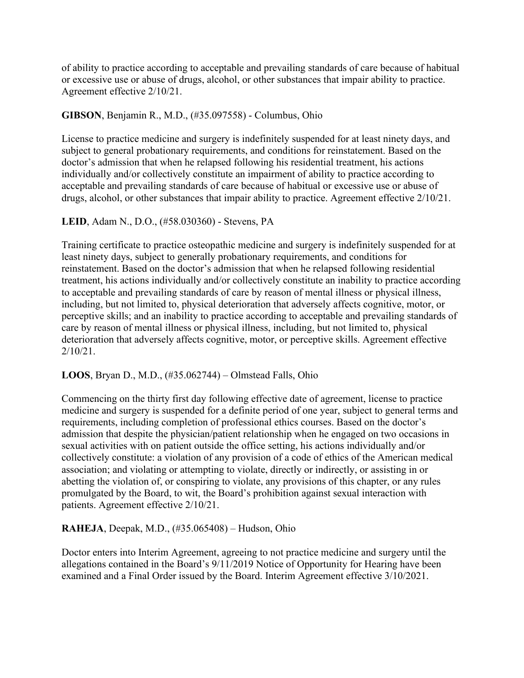of ability to practice according to acceptable and prevailing standards of care because of habitual or excessive use or abuse of drugs, alcohol, or other substances that impair ability to practice. Agreement effective 2/10/21.

### **GIBSON**, Benjamin R., M.D., (#35.097558) - Columbus, Ohio

License to practice medicine and surgery is indefinitely suspended for at least ninety days, and subject to general probationary requirements, and conditions for reinstatement. Based on the doctor's admission that when he relapsed following his residential treatment, his actions individually and/or collectively constitute an impairment of ability to practice according to acceptable and prevailing standards of care because of habitual or excessive use or abuse of drugs, alcohol, or other substances that impair ability to practice. Agreement effective 2/10/21.

#### **LEID**, Adam N., D.O., (#58.030360) - Stevens, PA

Training certificate to practice osteopathic medicine and surgery is indefinitely suspended for at least ninety days, subject to generally probationary requirements, and conditions for reinstatement. Based on the doctor's admission that when he relapsed following residential treatment, his actions individually and/or collectively constitute an inability to practice according to acceptable and prevailing standards of care by reason of mental illness or physical illness, including, but not limited to, physical deterioration that adversely affects cognitive, motor, or perceptive skills; and an inability to practice according to acceptable and prevailing standards of care by reason of mental illness or physical illness, including, but not limited to, physical deterioration that adversely affects cognitive, motor, or perceptive skills. Agreement effective 2/10/21.

#### **LOOS**, Bryan D., M.D., (#35.062744) – Olmstead Falls, Ohio

Commencing on the thirty first day following effective date of agreement, license to practice medicine and surgery is suspended for a definite period of one year, subject to general terms and requirements, including completion of professional ethics courses. Based on the doctor's admission that despite the physician/patient relationship when he engaged on two occasions in sexual activities with on patient outside the office setting, his actions individually and/or collectively constitute: a violation of any provision of a code of ethics of the American medical association; and violating or attempting to violate, directly or indirectly, or assisting in or abetting the violation of, or conspiring to violate, any provisions of this chapter, or any rules promulgated by the Board, to wit, the Board's prohibition against sexual interaction with patients. Agreement effective 2/10/21.

### **RAHEJA**, Deepak, M.D., (#35.065408) – Hudson, Ohio

Doctor enters into Interim Agreement, agreeing to not practice medicine and surgery until the allegations contained in the Board's 9/11/2019 Notice of Opportunity for Hearing have been examined and a Final Order issued by the Board. Interim Agreement effective 3/10/2021.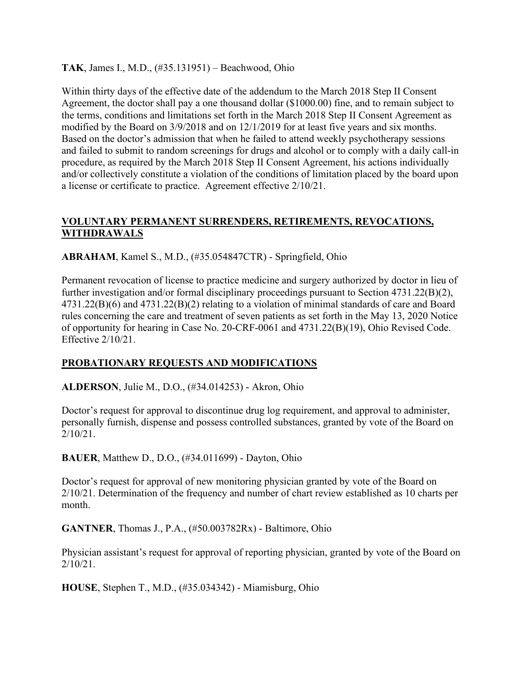**TAK**, James I., M.D., (#35.131951) – Beachwood, Ohio

Within thirty days of the effective date of the addendum to the March 2018 Step II Consent Agreement, the doctor shall pay a one thousand dollar (\$1000.00) fine, and to remain subject to the terms, conditions and limitations set forth in the March 2018 Step II Consent Agreement as modified by the Board on 3/9/2018 and on 12/1/2019 for at least five years and six months. Based on the doctor's admission that when he failed to attend weekly psychotherapy sessions and failed to submit to random screenings for drugs and alcohol or to comply with a daily call-in procedure, as required by the March 2018 Step II Consent Agreement, his actions individually and/or collectively constitute a violation of the conditions of limitation placed by the board upon a license or certificate to practice. Agreement effective 2/10/21.

## **VOLUNTARY PERMANENT SURRENDERS, RETIREMENTS, REVOCATIONS, WITHDRAWALS**

**ABRAHAM**, Kamel S., M.D., (#35.054847CTR) - Springfield, Ohio

Permanent revocation of license to practice medicine and surgery authorized by doctor in lieu of further investigation and/or formal disciplinary proceedings pursuant to Section 4731.22(B)(2), 4731.22(B)(6) and 4731.22(B)(2) relating to a violation of minimal standards of care and Board rules concerning the care and treatment of seven patients as set forth in the May 13, 2020 Notice of opportunity for hearing in Case No. 20-CRF-0061 and 4731.22(B)(19), Ohio Revised Code. Effective 2/10/21.

# **PROBATIONARY REQUESTS AND MODIFICATIONS**

**ALDERSON**, Julie M., D.O., (#34.014253) - Akron, Ohio

Doctor's request for approval to discontinue drug log requirement, and approval to administer, personally furnish, dispense and possess controlled substances, granted by vote of the Board on  $2/10/21$ .

**BAUER**, Matthew D., D.O., (#34.011699) - Dayton, Ohio

Doctor's request for approval of new monitoring physician granted by vote of the Board on 2/10/21. Determination of the frequency and number of chart review established as 10 charts per month.

**GANTNER**, Thomas J., P.A., (#50.003782Rx) - Baltimore, Ohio

Physician assistant's request for approval of reporting physician, granted by vote of the Board on 2/10/21.

**HOUSE**, Stephen T., M.D., (#35.034342) - Miamisburg, Ohio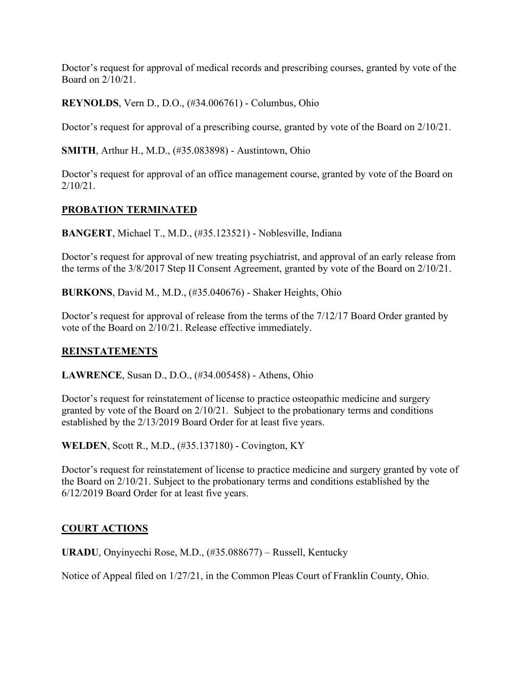Doctor's request for approval of medical records and prescribing courses, granted by vote of the Board on 2/10/21.

**REYNOLDS**, Vern D., D.O., (#34.006761) - Columbus, Ohio

Doctor's request for approval of a prescribing course, granted by vote of the Board on 2/10/21.

**SMITH**, Arthur H., M.D., (#35.083898) - Austintown, Ohio

Doctor's request for approval of an office management course, granted by vote of the Board on  $2/10/21$ .

# **PROBATION TERMINATED**

**BANGERT**, Michael T., M.D., (#35.123521) - Noblesville, Indiana

Doctor's request for approval of new treating psychiatrist, and approval of an early release from the terms of the 3/8/2017 Step II Consent Agreement, granted by vote of the Board on 2/10/21.

**BURKONS**, David M., M.D., (#35.040676) - Shaker Heights, Ohio

Doctor's request for approval of release from the terms of the 7/12/17 Board Order granted by vote of the Board on 2/10/21. Release effective immediately.

### **REINSTATEMENTS**

**LAWRENCE**, Susan D., D.O., (#34.005458) - Athens, Ohio

Doctor's request for reinstatement of license to practice osteopathic medicine and surgery granted by vote of the Board on 2/10/21. Subject to the probationary terms and conditions established by the 2/13/2019 Board Order for at least five years.

**WELDEN**, Scott R., M.D., (#35.137180) - Covington, KY

Doctor's request for reinstatement of license to practice medicine and surgery granted by vote of the Board on 2/10/21. Subject to the probationary terms and conditions established by the 6/12/2019 Board Order for at least five years.

# **COURT ACTIONS**

**URADU**, Onyinyechi Rose, M.D., (#35.088677) – Russell, Kentucky

Notice of Appeal filed on 1/27/21, in the Common Pleas Court of Franklin County, Ohio.